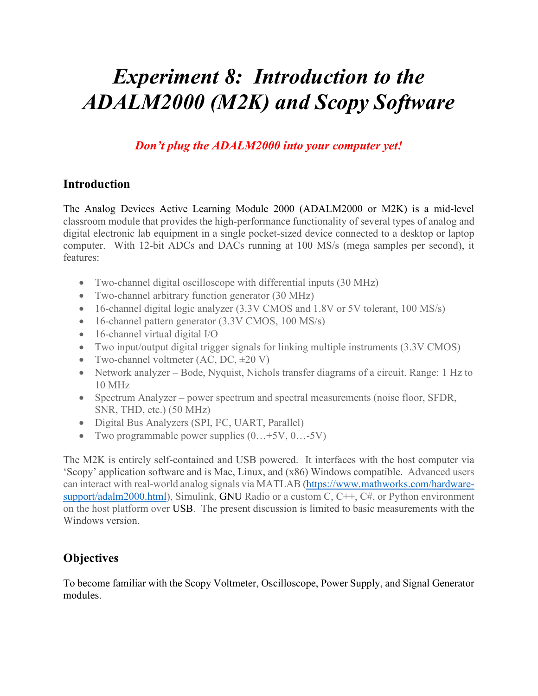# *Experiment 8: Introduction to the ADALM2000 (M2K) and Scopy Software*

*Don't plug the ADALM2000 into your computer yet!* 

#### **Introduction**

The Analog Devices Active Learning Module 2000 (ADALM2000 or M2K) is a mid-level classroom module that provides the high-performance functionality of several types of analog and digital electronic lab equipment in a single pocket-sized device connected to a desktop or laptop computer. With 12-bit ADCs and DACs running at 100 MS/s (mega samples per second), it features:

- Two-channel digital oscilloscope with differential inputs (30 MHz)
- Two-channel arbitrary function generator (30 MHz)
- 16-channel digital logic analyzer (3.3V CMOS and 1.8V or 5V tolerant, 100 MS/s)
- 16-channel pattern generator (3.3V CMOS, 100 MS/s)
- 16-channel virtual digital I/O
- Two input/output digital trigger signals for linking multiple instruments (3.3V CMOS)
- Two-channel voltmeter  $(AC, DC, \pm 20 V)$
- Network analyzer Bode, Nyquist, Nichols transfer diagrams of a circuit. Range: 1 Hz to 10 MHz
- Spectrum Analyzer power spectrum and spectral measurements (noise floor, SFDR, SNR, THD, etc.) (50 MHz)
- Digital Bus Analyzers (SPI, I²C, UART, Parallel)
- Two programmable power supplies  $(0...+5V, 0...5V)$

The M2K is entirely self-contained and USB powered. It interfaces with the host computer via 'Scopy' application software and is Mac, Linux, and (x86) Windows compatible. Advanced users can interact with real-world analog signals via MATLAB [\(https://www.mathworks.com/hardware](https://www.mathworks.com/hardware-support/adalm2000.html)[support/adalm2000.html\)](https://www.mathworks.com/hardware-support/adalm2000.html), Simulink, GNU Radio or a custom C, C++, C#, or Python environment on the host platform over USB. The present discussion is limited to basic measurements with the Windows version.

# **Objectives**

To become familiar with the Scopy Voltmeter, Oscilloscope, Power Supply, and Signal Generator modules.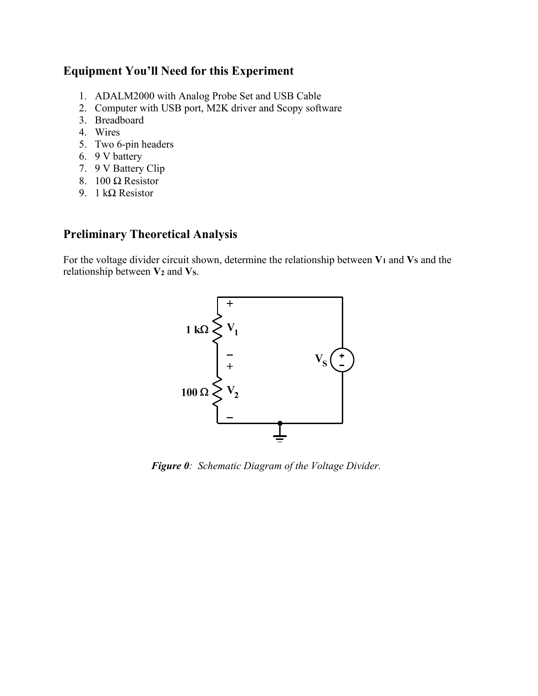#### **Equipment You'll Need for this Experiment**

- 1. ADALM2000 with Analog Probe Set and USB Cable
- 2. Computer with USB port, M2K driver and Scopy software
- 3. Breadboard
- 4. Wires
- 5. Two 6-pin headers
- 6. 9 V battery
- 7. 9 V Battery Clip
- 8. 100 Ω Resistor
- 9. 1 kΩ Resistor

## **Preliminary Theoretical Analysis**

For the voltage divider circuit shown, determine the relationship between  $V_1$  and  $V_S$  and the relationship between **V2** and **VS**.



*Figure 0: Schematic Diagram of the Voltage Divider.*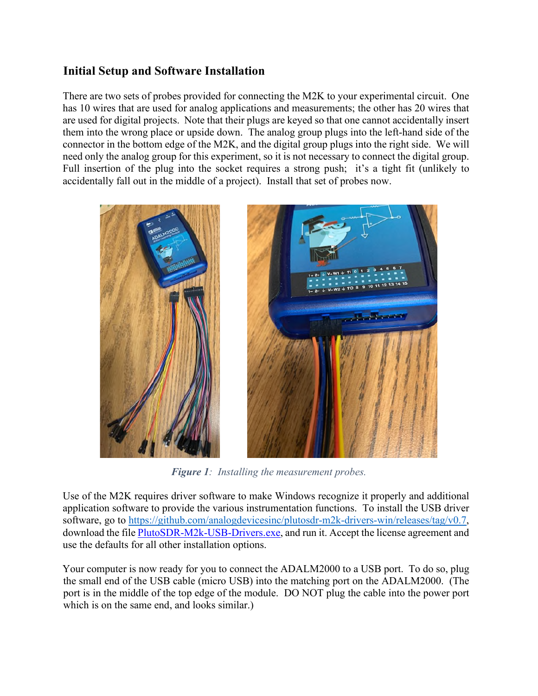### **Initial Setup and Software Installation**

There are two sets of probes provided for connecting the M2K to your experimental circuit. One has 10 wires that are used for analog applications and measurements; the other has 20 wires that are used for digital projects. Note that their plugs are keyed so that one cannot accidentally insert them into the wrong place or upside down. The analog group plugs into the left-hand side of the connector in the bottom edge of the M2K, and the digital group plugs into the right side. We will need only the analog group for this experiment, so it is not necessary to connect the digital group. Full insertion of the plug into the socket requires a strong push; it's a tight fit (unlikely to accidentally fall out in the middle of a project). Install that set of probes now.



*Figure 1: Installing the measurement probes.* 

Use of the M2K requires driver software to make Windows recognize it properly and additional application software to provide the various instrumentation functions. To install the USB driver software, go to [https://github.com/analogdevicesinc/plutosdr-m2k-drivers-win/releases/tag/v0.7,](https://github.com/analogdevicesinc/plutosdr-m2k-drivers-win/releases/tag/v0.7) download the file [PlutoSDR-M2k-USB-Drivers.exe,](https://github.com/analogdevicesinc/plutosdr-m2k-drivers-win/releases/download/v0.7/PlutoSDR-M2k-USB-Drivers.exe) and run it. Accept the license agreement and use the defaults for all other installation options.

Your computer is now ready for you to connect the ADALM2000 to a USB port. To do so, plug the small end of the USB cable (micro USB) into the matching port on the ADALM2000. (The port is in the middle of the top edge of the module. DO NOT plug the cable into the power port which is on the same end, and looks similar.)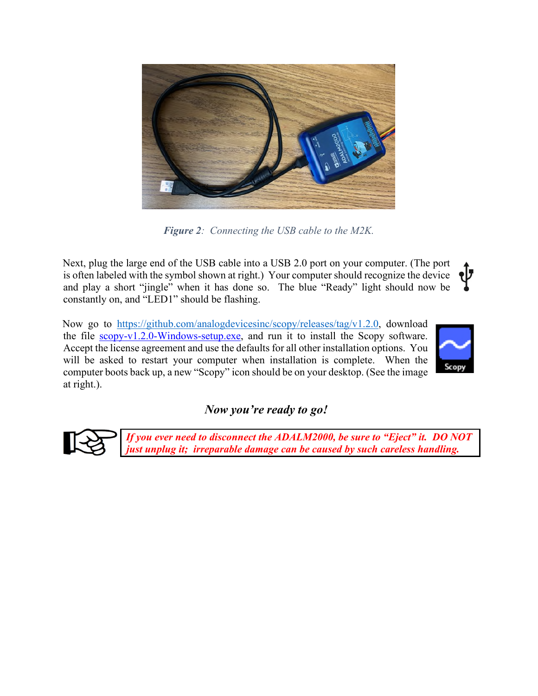

*Figure 2: Connecting the USB cable to the M2K.* 

Next, plug the large end of the USB cable into a USB 2.0 port on your computer. (The port •IJ is often labeled with the symbol shown at right.) Your computer should recognize the device and play a short "jingle" when it has done so. The blue "Ready" light should now be constantly on, and "LED1" should be flashing.

Now go to [https://github.com/analogdevicesinc/scopy/releases/tag/v1.2.0,](https://github.com/analogdevicesinc/scopy/releases/tag/v1.2.0) download the file [scopy-v1.2.0-Windows-setup.exe,](https://github.com/analogdevicesinc/scopy/releases/download/v1.2.0/scopy-v1.2.0-Windows-setup.exe) and run it to install the Scopy software. Accept the license agreement and use the defaults for all other installation options. You will be asked to restart your computer when installation is complete. When the computer boots back up, a new "Scopy" icon should be on your desktop. (See the image at right.).



# *Now you're ready to go!*



*If you ever need to disconnect the ADALM2000, be sure to "Eject" it. DO NOT just unplug it; irreparable damage can be caused by such careless handling.*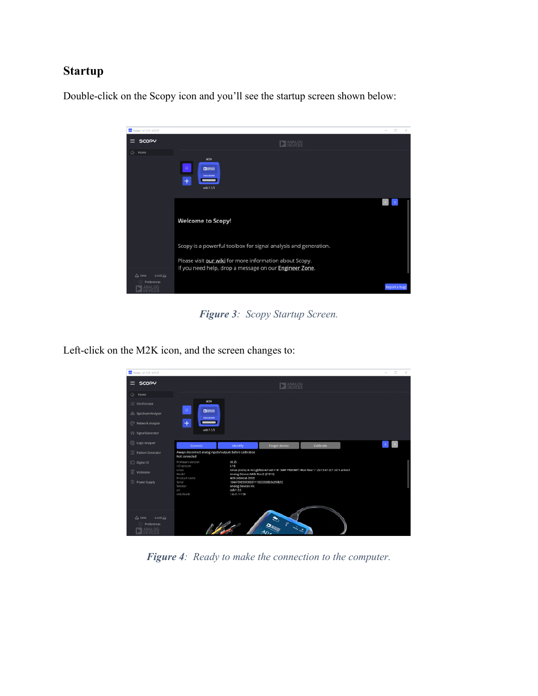#### **Startup**

Double-click on the Scopy icon and you'll see the startup screen shown below:



*Figure 3: Scopy Startup Screen.* 

Left-click on the M2K icon, and the screen changes to:

| Scopy - v1.2.0 - v1.2.0                    |                                                                             |                                                                                                             |                                                                                      |           | $\Box$                                           | $\times$ |
|--------------------------------------------|-----------------------------------------------------------------------------|-------------------------------------------------------------------------------------------------------------|--------------------------------------------------------------------------------------|-----------|--------------------------------------------------|----------|
| $\equiv$ SCOPY                             |                                                                             |                                                                                                             | BANALOG                                                                              |           |                                                  |          |
| △ Home                                     |                                                                             |                                                                                                             |                                                                                      |           |                                                  |          |
| flf Osciloscope                            | M2K                                                                         |                                                                                                             |                                                                                      |           |                                                  |          |
| alls Spectrum Analyzer                     | ×<br><b>DIANASS</b><br><b>ADALM2000</b>                                     |                                                                                                             |                                                                                      |           |                                                  |          |
| Network Analyzer                           | $+$<br><b>SERVICE DESCRIPTION</b>                                           |                                                                                                             |                                                                                      |           |                                                  |          |
| 1/ Signal Generator                        | usb:1.5.5                                                                   |                                                                                                             |                                                                                      |           |                                                  |          |
| C Logic Analyzer                           | Connect                                                                     | <b>Identify</b>                                                                                             | Forget device                                                                        | Calibrate | $\left\langle \cdot \right\rangle$ $\rightarrow$ |          |
| □ Pattern Generator                        | Always disconnect analog inputs/outputs before calibration<br>Not connected |                                                                                                             |                                                                                      |           |                                                  |          |
| O Digital IO                               | Firmware version<br>IIO version                                             | v0.25<br>0.18                                                                                               |                                                                                      |           |                                                  |          |
| voltmeter                                  | Linux<br>Model                                                              | Analog Devices M2k Rev.D (Z7010)                                                                            | Linux (none) 4.14.0-gbfb0c427ad77 #1 SMP PREEMPT Mon Nov 11 20:15:47 CET 2019 armv7l |           |                                                  |          |
| C Power Supply                             | Product name<br>Serial<br>Vendor<br>uri<br>ushlibusb                        | M2k (ADALM-2000)<br>1044739659930001110022008b3e299b52<br>Analog Devices Inc.<br>ustb:1.5.5<br>1.0.21.11156 |                                                                                      |           |                                                  |          |
| Load La<br>La Save<br>Preferences<br>NALOG |                                                                             | 10                                                                                                          | STATISTICS.<br>40.                                                                   |           |                                                  |          |

*Figure 4: Ready to make the connection to the computer.*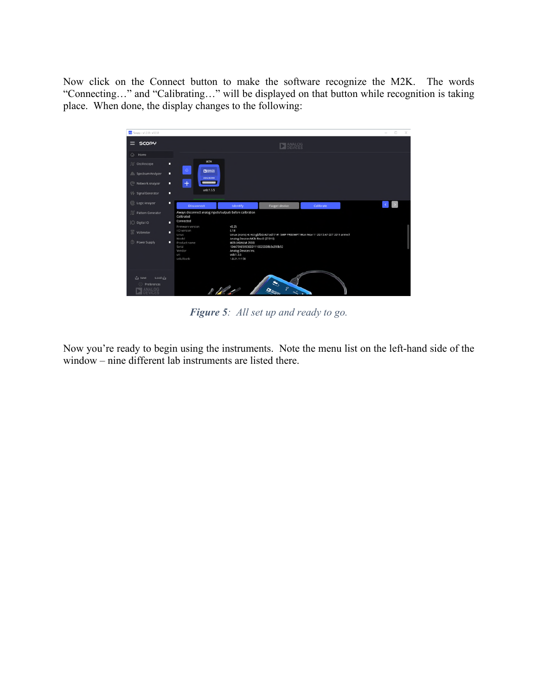Now click on the Connect button to make the software recognize the M2K. The words "Connecting…" and "Calibrating…" will be displayed on that button while recognition is taking place. When done, the display changes to the following:



*Figure 5: All set up and ready to go.* 

Now you're ready to begin using the instruments. Note the menu list on the left-hand side of the window – nine different lab instruments are listed there.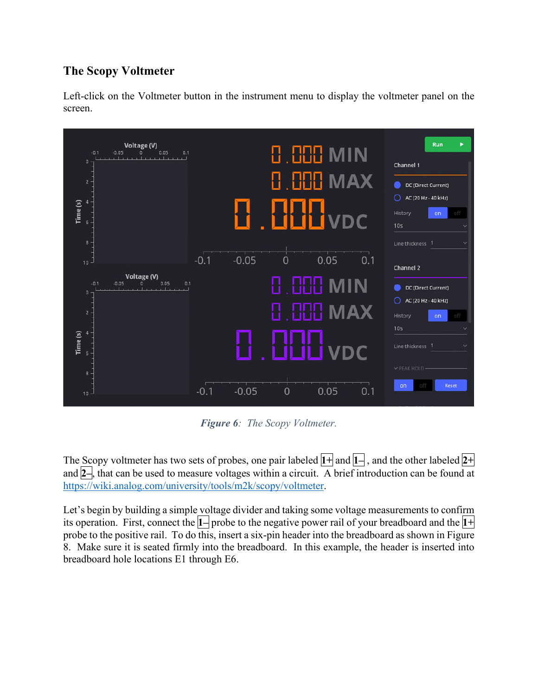# **The Scopy Voltmeter**

Left-click on the Voltmeter button in the instrument menu to display the voltmeter panel on the screen.



*Figure 6: The Scopy Voltmeter.* 

The Scopy voltmeter has two sets of probes, one pair labeled **1+** and **1–** , and the other labeled **2+**  and **2–**, that can be used to measure voltages within a circuit. A brief introduction can be found at [https://wiki.analog.com/university/tools/m2k/scopy/voltmeter.](https://wiki.analog.com/university/tools/m2k/scopy/voltmeter)

Let's begin by building a simple voltage divider and taking some voltage measurements to confirm its operation. First, connect the **1–** probe to the negative power rail of your breadboard and the **1+**  probe to the positive rail. To do this, insert a six-pin header into the breadboard as shown in Figure 8. Make sure it is seated firmly into the breadboard. In this example, the header is inserted into breadboard hole locations E1 through E6.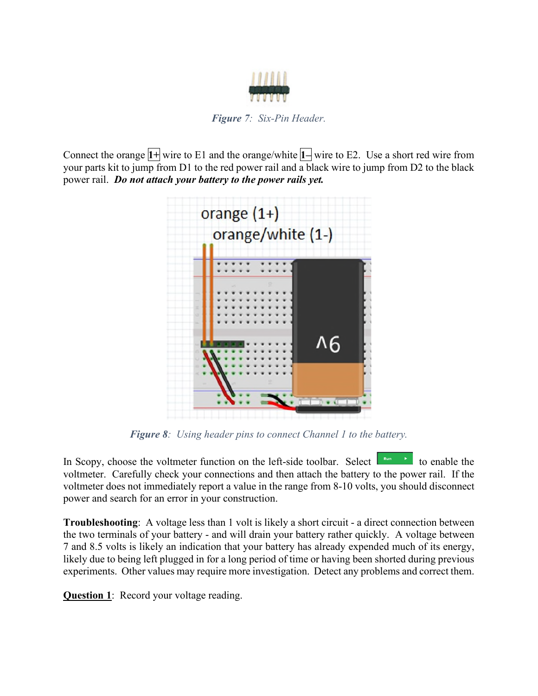

*Figure 7: Six-Pin Header.* 

Connect the orange **1+** wire to E1 and the orange/white **1–** wire to E2. Use a short red wire from your parts kit to jump from D1 to the red power rail and a black wire to jump from D2 to the black power rail. *Do not attach your battery to the power rails yet.*



*Figure 8: Using header pins to connect Channel 1 to the battery.* 

In Scopy, choose the voltmeter function on the left-side toolbar. Select  $\begin{bmatrix} \mathbb{R}^{n} & \mathbb{R}^n \\ \mathbb{R}^{n} & \mathbb{R}^n \end{bmatrix}$  to enable the voltmeter. Carefully check your connections and then attach the battery to the power rail. If the voltmeter does not immediately report a value in the range from 8-10 volts, you should disconnect power and search for an error in your construction.

**Troubleshooting**: A voltage less than 1 volt is likely a short circuit - a direct connection between the two terminals of your battery - and will drain your battery rather quickly. A voltage between 7 and 8.5 volts is likely an indication that your battery has already expended much of its energy, likely due to being left plugged in for a long period of time or having been shorted during previous experiments. Other values may require more investigation. Detect any problems and correct them.

**Question 1:** Record your voltage reading.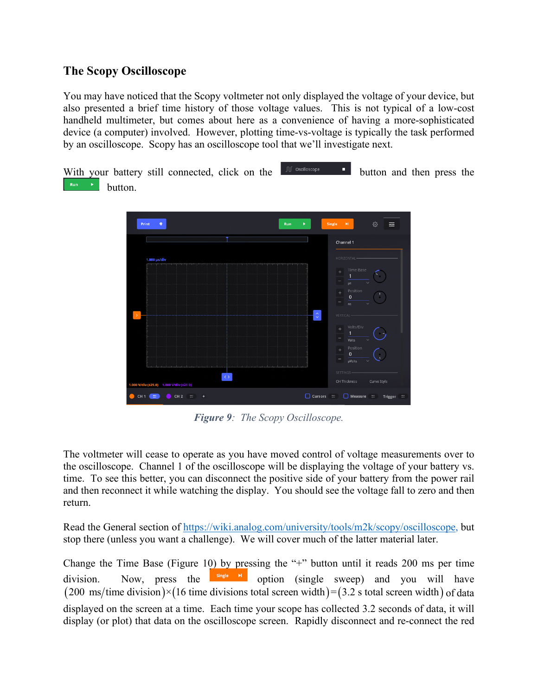#### **The Scopy Oscilloscope**

You may have noticed that the Scopy voltmeter not only displayed the voltage of your device, but also presented a brief time history of those voltage values. This is not typical of a low-cost handheld multimeter, but comes about here as a convenience of having a more-sophisticated device (a computer) involved. However, plotting time-vs-voltage is typically the task performed by an oscilloscope. Scopy has an oscilloscope tool that we'll investigate next.

With your battery still connected, click on the  $\mathbb{R}^{\mathbb{C}}$  oscilloscope **button** and then press the button.



*Figure 9: The Scopy Oscilloscope.* 

The voltmeter will cease to operate as you have moved control of voltage measurements over to the oscilloscope. Channel 1 of the oscilloscope will be displaying the voltage of your battery vs. time. To see this better, you can disconnect the positive side of your battery from the power rail and then reconnect it while watching the display. You should see the voltage fall to zero and then return.

Read the General section of [https://wiki.analog.com/university/tools/m2k/scopy/oscilloscope,](https://wiki.analog.com/university/tools/m2k/scopy/oscilloscope) but stop there (unless you want a challenge). We will cover much of the latter material later.

Change the Time Base (Figure 10) by pressing the "+" button until it reads 200 ms per time division. Now, press the  $\frac{\text{single } \times \text{pi}}{\text{option}}$  option (single sweep) and you will have  $(200 \text{ ms/time division}) \times (16 \text{ time divisions total screen width}) = (3.2 \text{ s total screen width})$  of data displayed on the screen at a time. Each time your scope has collected 3.2 seconds of data, it will display (or plot) that data on the oscilloscope screen. Rapidly disconnect and re-connect the red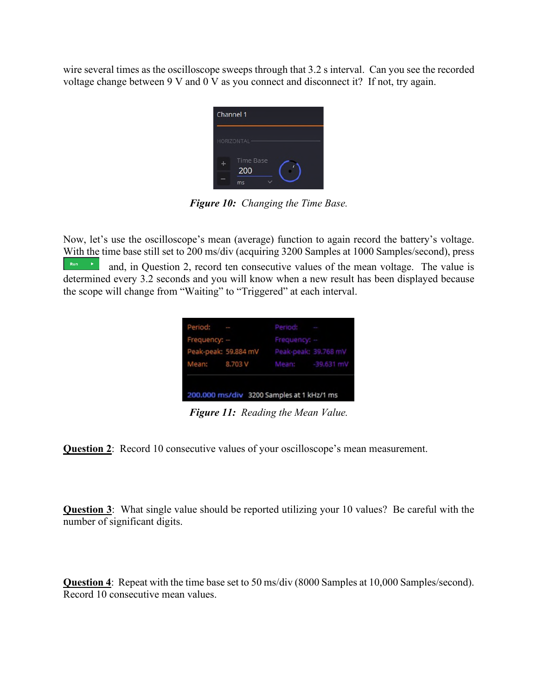wire several times as the oscilloscope sweeps through that 3.2 s interval. Can you see the recorded voltage change between 9 V and 0 V as you connect and disconnect it? If not, try again.

| Channel 1               |
|-------------------------|
| HORIZONTAL-             |
| <b>Time Base</b><br>200 |
| ms                      |

*Figure 10: Changing the Time Base.* 

Now, let's use the oscilloscope's mean (average) function to again record the battery's voltage. With the time base still set to 200 ms/div (acquiring 3200 Samples at 1000 Samples/second), press  $\begin{bmatrix} \mathbb{R}^{n} & \mathbb{R} \end{bmatrix}$  and, in Question 2, record ten consecutive values of the mean voltage. The value is determined every 3.2 seconds and you will know when a new result has been displayed because the scope will change from "Waiting" to "Triggered" at each interval.

| Period: -<br>Frequency: -- | Period: -<br>Frequency: -                 |  |
|----------------------------|-------------------------------------------|--|
|                            | Peak-peak: 59.884 mV Peak-peak: 39.768 mV |  |
|                            | Mean: 8.703 V Mean: -39.631 mV            |  |

*Figure 11: Reading the Mean Value.* 

**Question 2**: Record 10 consecutive values of your oscilloscope's mean measurement.

**Question 3**: What single value should be reported utilizing your 10 values? Be careful with the number of significant digits.

**Question 4**: Repeat with the time base set to 50 ms/div (8000 Samples at 10,000 Samples/second). Record 10 consecutive mean values.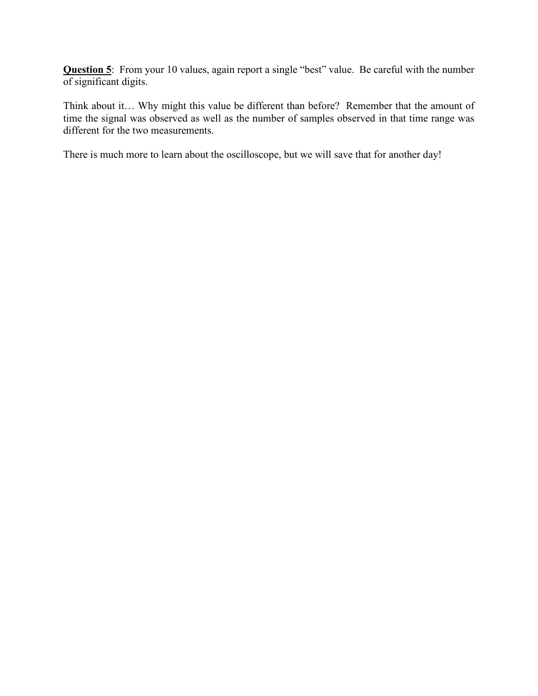**Question 5**: From your 10 values, again report a single "best" value. Be careful with the number of significant digits.

Think about it… Why might this value be different than before? Remember that the amount of time the signal was observed as well as the number of samples observed in that time range was different for the two measurements.

There is much more to learn about the oscilloscope, but we will save that for another day!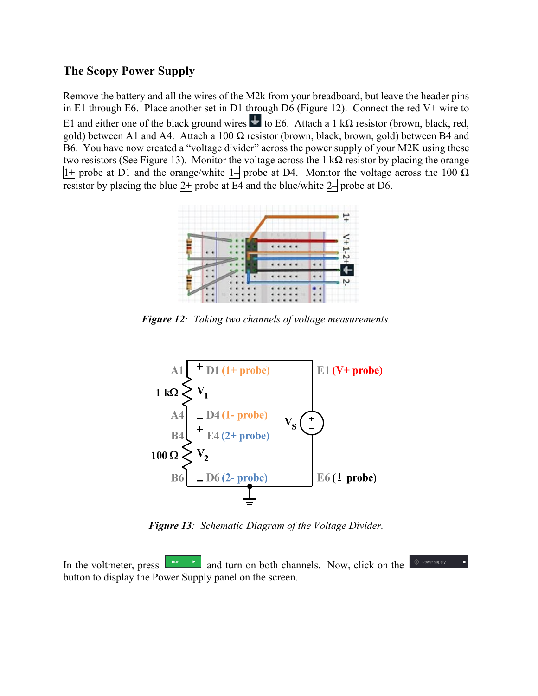#### **The Scopy Power Supply**

Remove the battery and all the wires of the M2k from your breadboard, but leave the header pins in E1 through E6. Place another set in D1 through D6 (Figure 12). Connect the red V+ wire to E1 and either one of the black ground wires  $\frac{1}{\epsilon}$  to E6. Attach a 1 kΩ resistor (brown, black, red, gold) between A1 and A4. Attach a 100  $\Omega$  resistor (brown, black, brown, gold) between B4 and B6. You have now created a "voltage divider" across the power supply of your M2K using these two resistors (See Figure 13). Monitor the voltage across the 1 k $\Omega$  resistor by placing the orange  $|1+|$  probe at D1 and the orange/white  $|1-|$  probe at D4. Monitor the voltage across the 100  $\Omega$ resistor by placing the blue  $2+$  probe at E4 and the blue/white  $2+$  probe at D6.



*Figure 12: Taking two channels of voltage measurements.* 



*Figure 13: Schematic Diagram of the Voltage Divider.* 

In the voltmeter, press  $\begin{bmatrix} \frac{Run}{r} \\ \frac{1}{r} \end{bmatrix}$  and turn on both channels. Now, click on the button to display the Power Supply panel on the screen.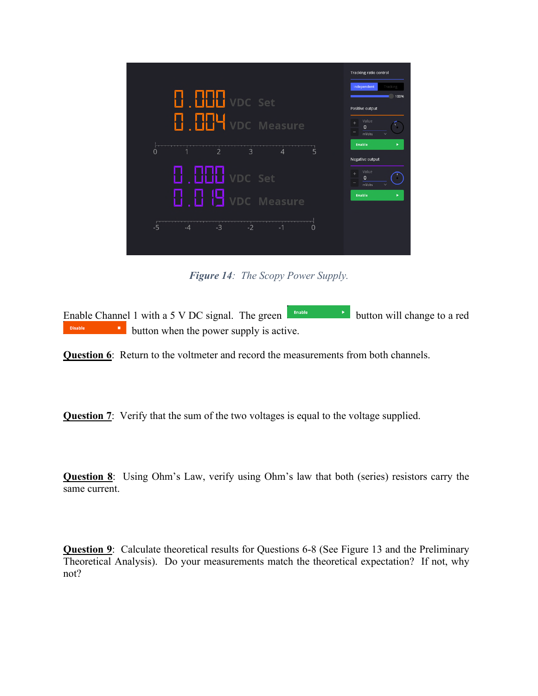

*Figure 14: The Scopy Power Supply.* 

Enable Channel 1 with a 5 V DC signal. The green  $\begin{array}{|l|}\n\hline\n\end{array}$  button will change to a red **button** when the power supply is active. Disable

**Question 6**: Return to the voltmeter and record the measurements from both channels.

**Question 7:** Verify that the sum of the two voltages is equal to the voltage supplied.

**Question 8**: Using Ohm's Law, verify using Ohm's law that both (series) resistors carry the same current.

**Question 9**: Calculate theoretical results for Questions 6-8 (See Figure 13 and the Preliminary Theoretical Analysis). Do your measurements match the theoretical expectation? If not, why not?